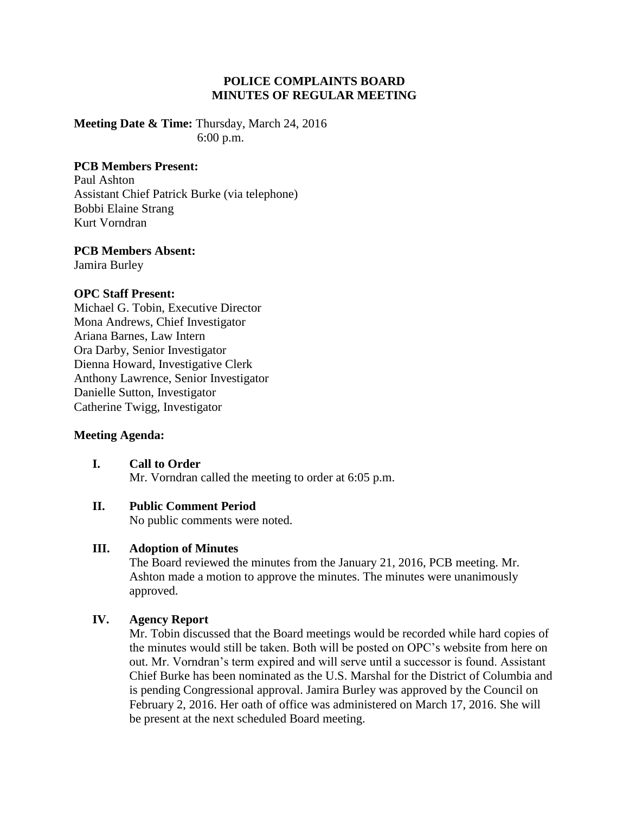# **POLICE COMPLAINTS BOARD MINUTES OF REGULAR MEETING**

**Meeting Date & Time:** Thursday, March 24, 2016 6:00 p.m.

## **PCB Members Present:**

Paul Ashton Assistant Chief Patrick Burke (via telephone) Bobbi Elaine Strang Kurt Vorndran

#### **PCB Members Absent:**

Jamira Burley

### **OPC Staff Present:**

Michael G. Tobin, Executive Director Mona Andrews, Chief Investigator Ariana Barnes, Law Intern Ora Darby, Senior Investigator Dienna Howard, Investigative Clerk Anthony Lawrence, Senior Investigator Danielle Sutton, Investigator Catherine Twigg, Investigator

#### **Meeting Agenda:**

**I. Call to Order** Mr. Vorndran called the meeting to order at 6:05 p.m.

## **II. Public Comment Period**

No public comments were noted.

### **III. Adoption of Minutes**

The Board reviewed the minutes from the January 21, 2016, PCB meeting. Mr. Ashton made a motion to approve the minutes. The minutes were unanimously approved.

## **IV. Agency Report**

Mr. Tobin discussed that the Board meetings would be recorded while hard copies of the minutes would still be taken. Both will be posted on OPC's website from here on out. Mr. Vorndran's term expired and will serve until a successor is found. Assistant Chief Burke has been nominated as the U.S. Marshal for the District of Columbia and is pending Congressional approval. Jamira Burley was approved by the Council on February 2, 2016. Her oath of office was administered on March 17, 2016. She will be present at the next scheduled Board meeting.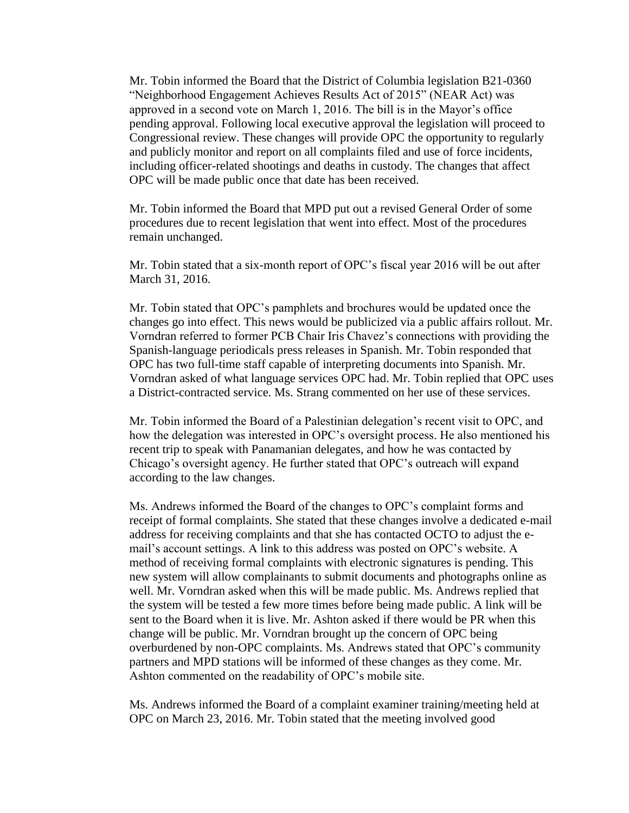Mr. Tobin informed the Board that the District of Columbia legislation B21-0360 "Neighborhood Engagement Achieves Results Act of 2015" (NEAR Act) was approved in a second vote on March 1, 2016. The bill is in the Mayor's office pending approval. Following local executive approval the legislation will proceed to Congressional review. These changes will provide OPC the opportunity to regularly and publicly monitor and report on all complaints filed and use of force incidents, including officer-related shootings and deaths in custody. The changes that affect OPC will be made public once that date has been received.

Mr. Tobin informed the Board that MPD put out a revised General Order of some procedures due to recent legislation that went into effect. Most of the procedures remain unchanged.

Mr. Tobin stated that a six-month report of OPC's fiscal year 2016 will be out after March 31, 2016.

Mr. Tobin stated that OPC's pamphlets and brochures would be updated once the changes go into effect. This news would be publicized via a public affairs rollout. Mr. Vorndran referred to former PCB Chair Iris Chavez's connections with providing the Spanish-language periodicals press releases in Spanish. Mr. Tobin responded that OPC has two full-time staff capable of interpreting documents into Spanish. Mr. Vorndran asked of what language services OPC had. Mr. Tobin replied that OPC uses a District-contracted service. Ms. Strang commented on her use of these services.

Mr. Tobin informed the Board of a Palestinian delegation's recent visit to OPC, and how the delegation was interested in OPC's oversight process. He also mentioned his recent trip to speak with Panamanian delegates, and how he was contacted by Chicago's oversight agency. He further stated that OPC's outreach will expand according to the law changes.

Ms. Andrews informed the Board of the changes to OPC's complaint forms and receipt of formal complaints. She stated that these changes involve a dedicated e-mail address for receiving complaints and that she has contacted OCTO to adjust the email's account settings. A link to this address was posted on OPC's website. A method of receiving formal complaints with electronic signatures is pending. This new system will allow complainants to submit documents and photographs online as well. Mr. Vorndran asked when this will be made public. Ms. Andrews replied that the system will be tested a few more times before being made public. A link will be sent to the Board when it is live. Mr. Ashton asked if there would be PR when this change will be public. Mr. Vorndran brought up the concern of OPC being overburdened by non-OPC complaints. Ms. Andrews stated that OPC's community partners and MPD stations will be informed of these changes as they come. Mr. Ashton commented on the readability of OPC's mobile site.

Ms. Andrews informed the Board of a complaint examiner training/meeting held at OPC on March 23, 2016. Mr. Tobin stated that the meeting involved good